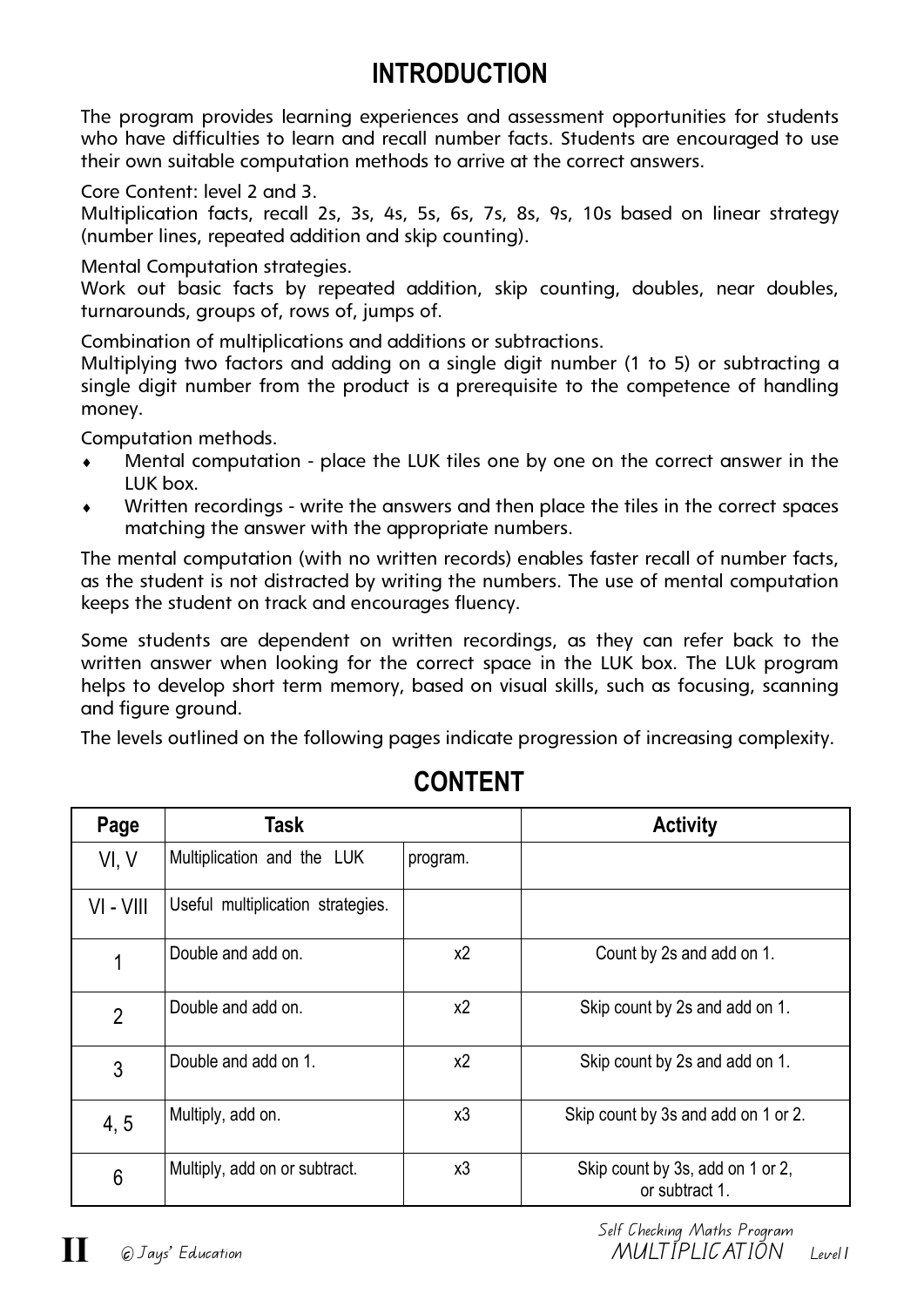## **INTRODUCTION**

The program provides learning experiences and assessment opportunities for students who have difficulties to learn and recall number facts. Students are encouraged to use their own suitable computation methods to arrive at the correct answers.

Core Content: level 2 and 3.

Multiplication facts, recall 2s, 3s, 4s, 5s, 6s, 7s, 8s, 9s, 10s based on linear strategy (number lines, repeated addition and skip counting).

Mental Computation strategies.

Work out basic facts by repeated addition, skip counting, doubles, near doubles, turnarounds, groups of, rows of, jumps of.

Combination of multiplications and additions or subtractions.

Multiplying two factors and adding on a single digit number (1 to 5) or subtracting a single digit number from the product is a prerequisite to the competence of handling money.

Computation methods.

- Mental computation place the LUK tiles one by one on the correct answer in the LUK box.
- Written recordings write the answers and then place the tiles in the correct spaces matching the answer with the appropriate numbers.

The mental computation (with no written records) enables faster recall of number facts, as the student is not distracted by writing the numbers. The use of mental computation keeps the student on track and encourages fluency.

Some students are dependent on written recordings, as they can refer back to the written answer when looking for the correct space in the LUK box. The LUk program helps to develop short term memory, based on visual skills, such as focusing, scanning and figure ground.

The levels outlined on the following pages indicate progression of increasing complexity.

| Page           | Task                              |                                                  | <b>Activity</b>                                    |  |  |
|----------------|-----------------------------------|--------------------------------------------------|----------------------------------------------------|--|--|
| VI, V          | Multiplication and the LUK        | program.                                         |                                                    |  |  |
| VI - VIII      | Useful multiplication strategies. |                                                  |                                                    |  |  |
| 1              | Double and add on.                | $x^2$                                            | Count by 2s and add on 1.                          |  |  |
| $\overline{2}$ | Double and add on.                | x <sub>2</sub><br>Skip count by 2s and add on 1. |                                                    |  |  |
| 3              | Double and add on 1.              | $x^2$                                            | Skip count by 2s and add on 1.                     |  |  |
| 4,5            | Multiply, add on.                 | x3                                               | Skip count by 3s and add on 1 or 2.                |  |  |
| 6              | Multiply, add on or subtract.     | x3                                               | Skip count by 3s, add on 1 or 2,<br>or subtract 1. |  |  |

## **CONTENT**

Self Checking Maths Program ^c Jays' Education MULTIPLICATION Level1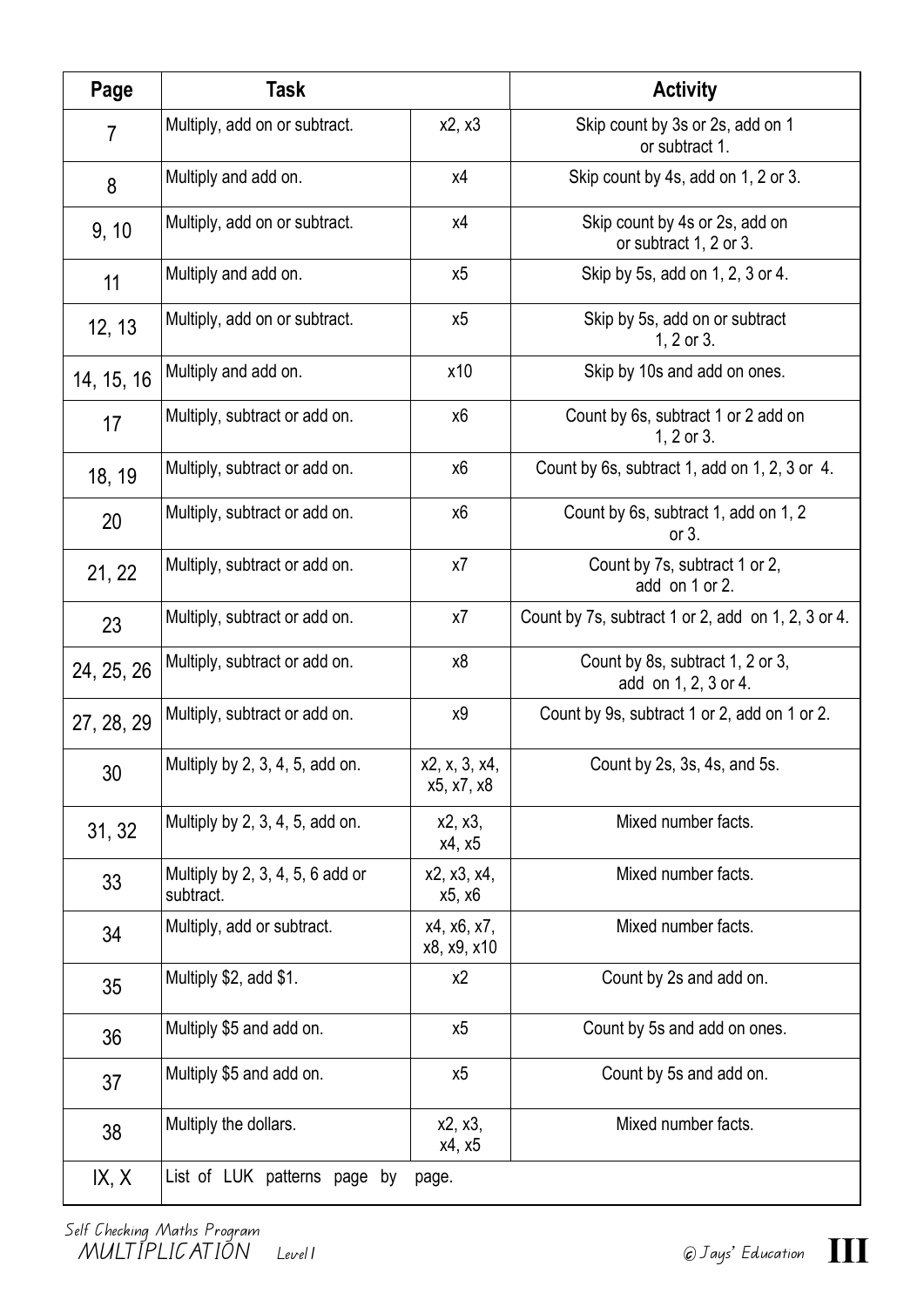| Page           | Task                                            |                             | <b>Activity</b>                                          |  |  |
|----------------|-------------------------------------------------|-----------------------------|----------------------------------------------------------|--|--|
| $\overline{7}$ | Multiply, add on or subtract.                   | x2, x3                      | Skip count by 3s or 2s, add on 1<br>or subtract 1.       |  |  |
| 8              | Multiply and add on.                            | χ4                          | Skip count by 4s, add on 1, 2 or 3.                      |  |  |
| 9, 10          | Multiply, add on or subtract.                   | x4                          | Skip count by 4s or 2s, add on<br>or subtract 1, 2 or 3. |  |  |
| 11             | Multiply and add on.                            | х5                          | Skip by 5s, add on 1, 2, 3 or 4.                         |  |  |
| 12, 13         | Multiply, add on or subtract.                   | х5                          | Skip by 5s, add on or subtract<br>$1, 2$ or $3.$         |  |  |
| 14, 15, 16     | Multiply and add on.                            | x10                         | Skip by 10s and add on ones.                             |  |  |
| 17             | Multiply, subtract or add on.                   | х6                          | Count by 6s, subtract 1 or 2 add on<br>1, $2$ or $3$ .   |  |  |
| 18, 19         | Multiply, subtract or add on.                   | х6                          | Count by 6s, subtract 1, add on 1, 2, 3 or 4.            |  |  |
| 20             | Multiply, subtract or add on.                   | х6                          | Count by 6s, subtract 1, add on 1, 2<br>or $3$ .         |  |  |
| 21, 22         | Multiply, subtract or add on.                   | x7                          | Count by 7s, subtract 1 or 2,<br>add on 1 or 2.          |  |  |
| 23             | Multiply, subtract or add on.                   | x7                          | Count by 7s, subtract 1 or 2, add on 1, 2, 3 or 4.       |  |  |
| 24, 25, 26     | Multiply, subtract or add on.                   | х8                          | Count by 8s, subtract 1, 2 or 3,<br>add on 1, 2, 3 or 4. |  |  |
| 27, 28, 29     | Multiply, subtract or add on.                   | х9                          | Count by 9s, subtract 1 or 2, add on 1 or 2.             |  |  |
| 30             | Multiply by 2, 3, 4, 5, add on.                 | x2, x, 3, x4,<br>x5, x7, x8 | Count by 2s, 3s, 4s, and 5s.                             |  |  |
| 31, 32         | Multiply by 2, 3, 4, 5, add on.                 | x2, x3,<br>x4, x5           | Mixed number facts.                                      |  |  |
| 33             | Multiply by $2, 3, 4, 5, 6$ add or<br>subtract. | x2, x3, x4,<br>x5, x6       | Mixed number facts.                                      |  |  |
| 34             | Multiply, add or subtract.                      | x4, x6, x7,<br>x8, x9, x10  | Mixed number facts.                                      |  |  |
| 35             | Multiply \$2, add \$1.                          | x2                          | Count by 2s and add on.                                  |  |  |
| 36             | Multiply \$5 and add on.                        | x5                          | Count by 5s and add on ones.                             |  |  |
| 37             | Multiply \$5 and add on.                        | x5                          | Count by 5s and add on.                                  |  |  |
| 38             | Multiply the dollars.                           | x2, x3,<br>x4, x5           | Mixed number facts.                                      |  |  |
| IX, X          | List of LUK patterns page by                    | page.                       |                                                          |  |  |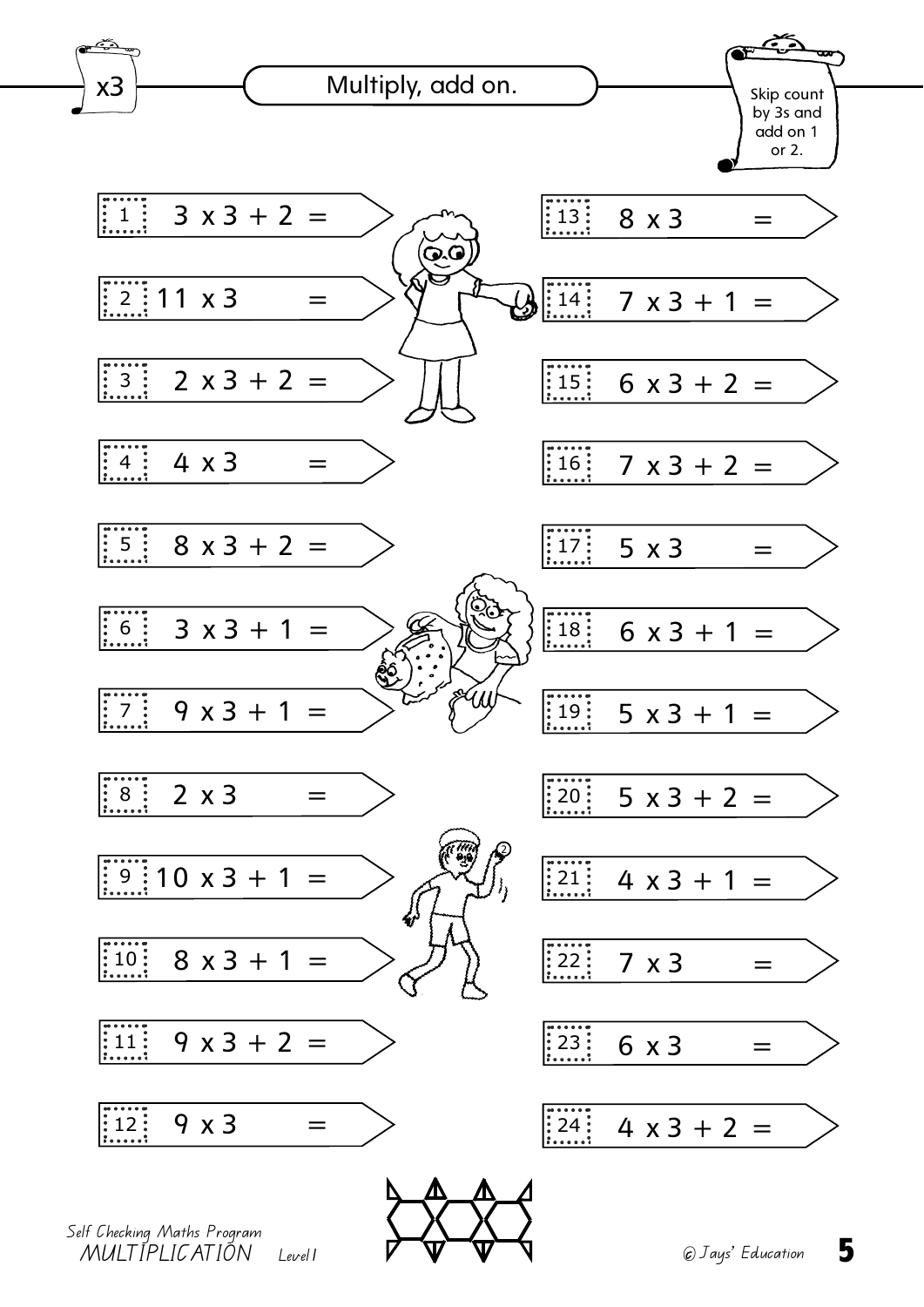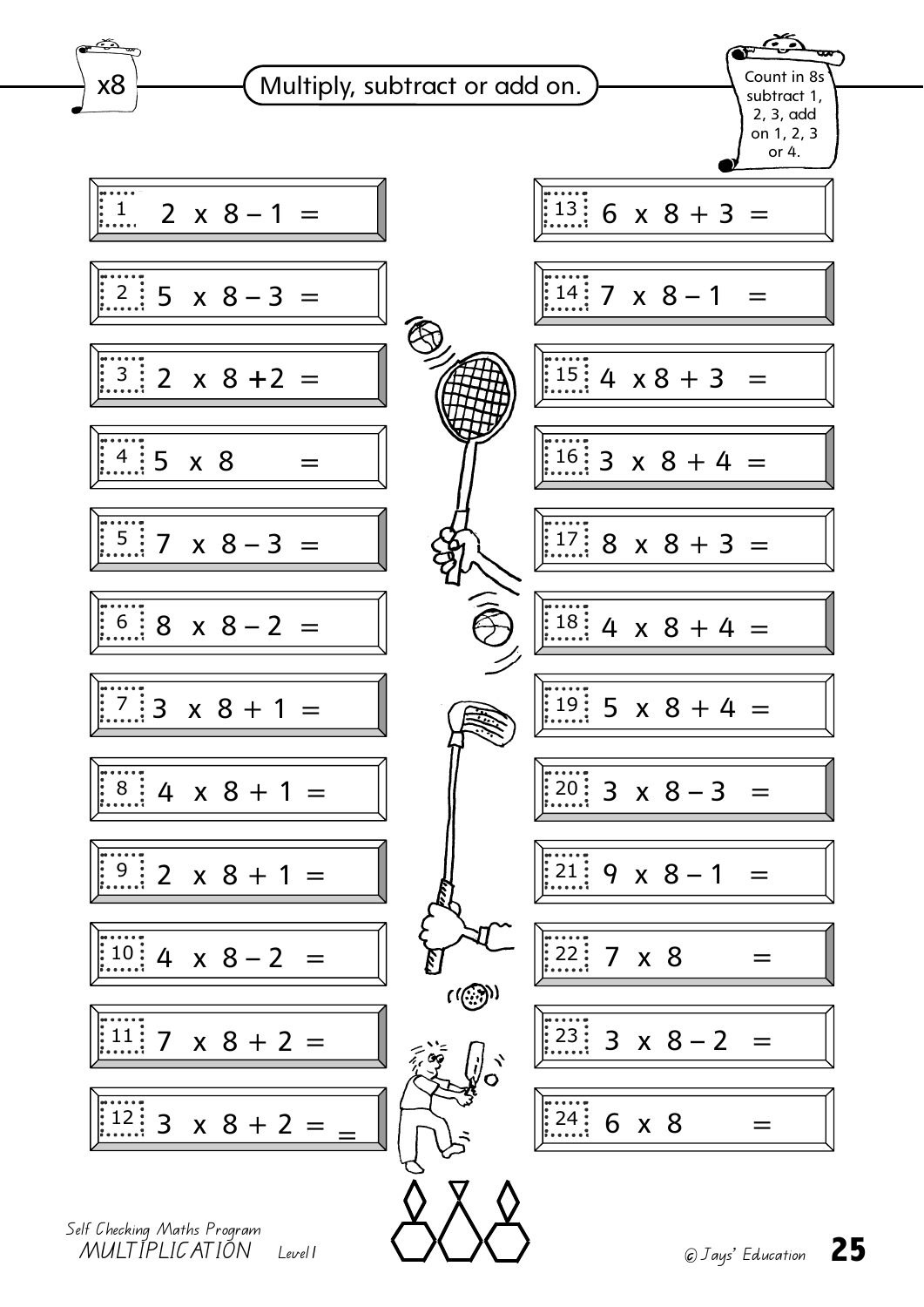